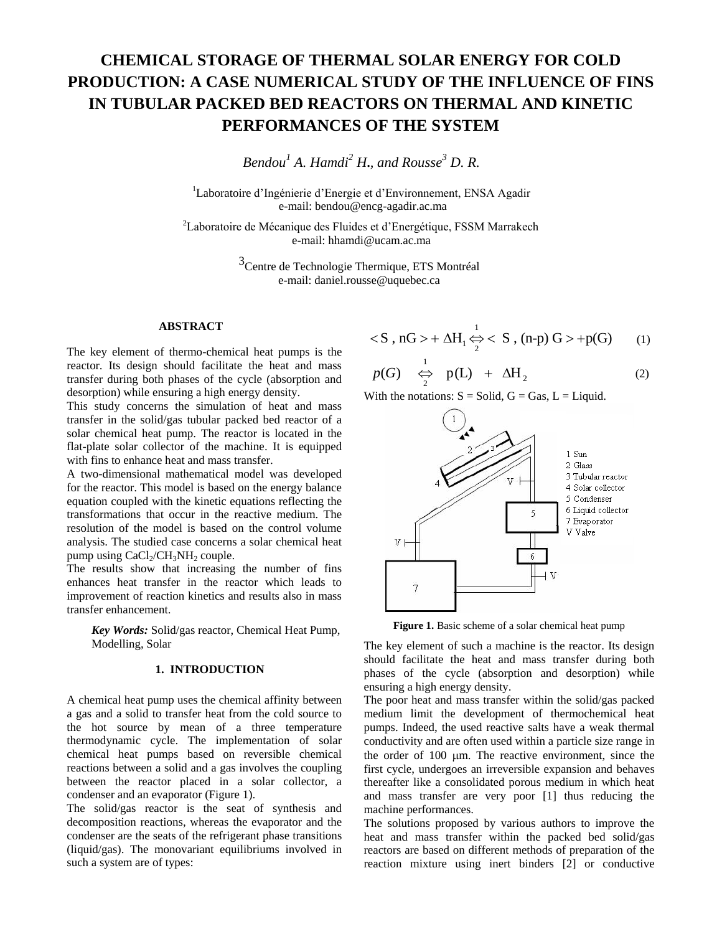# **CHEMICAL STORAGE OF THERMAL SOLAR ENERGY FOR COLD PRODUCTION: A CASE NUMERICAL STUDY OF THE INFLUENCE OF FINS IN TUBULAR PACKED BED REACTORS ON THERMAL AND KINETIC PERFORMANCES OF THE SYSTEM**

*Bendou<sup>1</sup> A. Hamdi<sup>2</sup> H***.***, and Rousse<sup>3</sup> D. R.*

<sup>1</sup>Laboratoire d'Ingénierie d'Energie et d'Environnement, ENSA Agadir e-mail: bendou@encg-agadir.ac.ma

 ${}^{2}$ Laboratoire de Mécanique des Fluides et d'Energétique, FSSM Marrakech e-mail: hhamdi@ucam.ac.ma

> <sup>3</sup>Centre de Technologie Thermique, ETS Montréal e-mail: daniel.rousse@uquebec.ca

# **ABSTRACT**

The key element of thermo-chemical heat pumps is the reactor. Its design should facilitate the heat and mass transfer during both phases of the cycle (absorption and desorption) while ensuring a high energy density.

This study concerns the simulation of heat and mass transfer in the solid/gas tubular packed bed reactor of a solar chemical heat pump. The reactor is located in the flat-plate solar collector of the machine. It is equipped with fins to enhance heat and mass transfer.

A two-dimensional mathematical model was developed for the reactor. This model is based on the energy balance equation coupled with the kinetic equations reflecting the transformations that occur in the reactive medium. The resolution of the model is based on the control volume analysis. The studied case concerns a solar chemical heat pump using  $CaCl<sub>2</sub>/CH<sub>3</sub>NH<sub>2</sub>$  couple.

The results show that increasing the number of fins enhances heat transfer in the reactor which leads to improvement of reaction kinetics and results also in mass transfer enhancement.

*Key Words:* Solid/gas reactor, Chemical Heat Pump, Modelling, Solar

# **1. INTRODUCTION**

A chemical heat pump uses the chemical affinity between a gas and a solid to transfer heat from the cold source to the hot source by mean of a three temperature thermodynamic cycle. The implementation of solar chemical heat pumps based on reversible chemical reactions between a solid and a gas involves the coupling between the reactor placed in a solar collector, a condenser and an evaporator (Figure 1). **ABSTRACT**<br> **ABSTRACT**<br>
The key element of thermo-chemical heat pumps is the<br>
reactor. Its design should facilitime the heat and mass<br>
reactor. Its design should facilitime the heat and mass<br>
desoproion) while casuring a

The solid/gas reactor is the seat of synthesis and decomposition reactions, whereas the evaporator and the condenser are the seats of the refrigerant phase transitions (liquid/gas). The monovariant equilibriums involved in

$$
< S \, , \, nG > + \Delta H_1 \overset{1}{\Leftrightarrow} < S \, , \, (n-p) \, G > +p(G) \qquad (1)
$$

$$
p(G) \quad \underset{2}{\overset{1}{\Leftrightarrow}} \quad p(L) \quad + \quad \Delta H_2 \tag{2}
$$

With the notations:  $S =$  Solid,  $G =$  Gas,  $L =$  Liquid.



**Figure 1.** Basic scheme of a solar chemical heat pump

The key element of such a machine is the reactor. Its design should facilitate the heat and mass transfer during both phases of the cycle (absorption and desorption) while ensuring a high energy density.

The poor heat and mass transfer within the solid/gas packed medium limit the development of thermochemical heat pumps. Indeed, the used reactive salts have a weak thermal conductivity and are often used within a particle size range in the order of  $100 \mu m$ . The reactive environment, since the first cycle, undergoes an irreversible expansion and behaves thereafter like a consolidated porous medium in which heat and mass transfer are very poor [1] thus reducing the machine performances.

The solutions proposed by various authors to improve the heat and mass transfer within the packed bed solid/gas reactors are based on different methods of preparation of the reaction mixture using inert binders [2] or conductive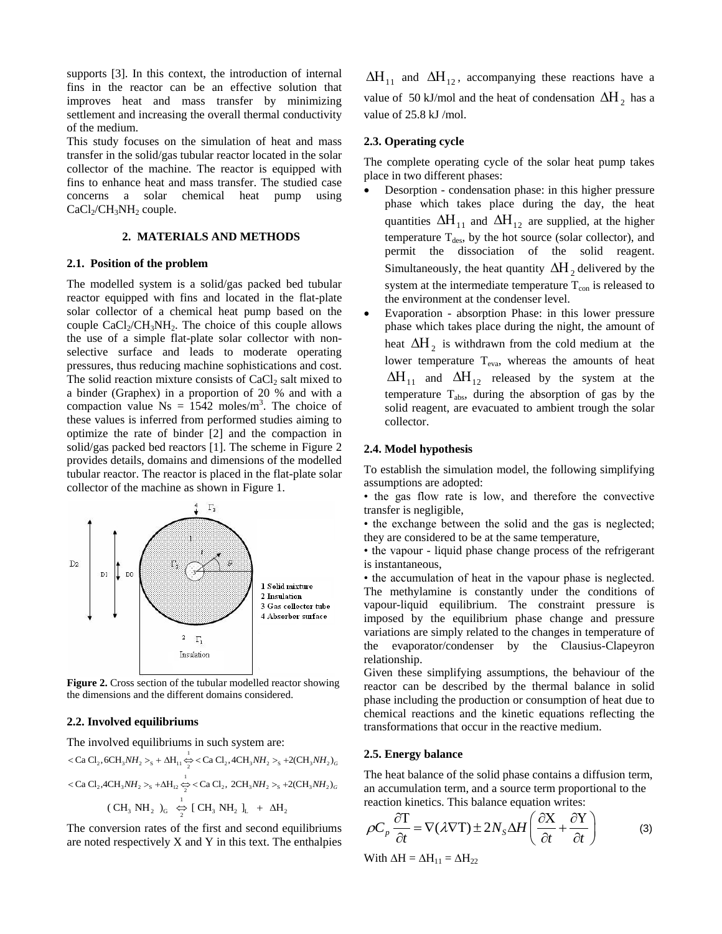supports [3]. In this context, the introduction of internal fins in the reactor can be an effective solution that improves heat and mass transfer by minimizing settlement and increasing the overall thermal conductivity of the medium.

This study focuses on the simulation of heat and mass transfer in the solid/gas tubular reactor located in the solar collector of the machine. The reactor is equipped with fins to enhance heat and mass transfer. The studied case concerns a solar chemical heat pump using  $CaCl<sub>2</sub>/CH<sub>3</sub>NH<sub>2</sub>$  couple.

# **2. MATERIALS AND METHODS**

### **2.1. Position of the problem**

The modelled system is a solid/gas packed bed tubular reactor equipped with fins and located in the flat-plate solar collector of a chemical heat pump based on the couple  $CaCl<sub>2</sub>/CH<sub>3</sub>NH<sub>2</sub>$ . The choice of this couple allows the use of a simple flat-plate solar collector with nonselective surface and leads to moderate operating pressures, thus reducing machine sophistications and cost. The solid reaction mixture consists of  $CaCl<sub>2</sub>$  salt mixed to a binder (Graphex) in a proportion of 20 % and with a compaction value  $Ns = 1542$  moles/m<sup>3</sup>. The choice of these values is inferred from performed studies aiming to optimize the rate of binder [2] and the compaction in solid/gas packed bed reactors [1]. The scheme in Figure 2 provides details, domains and dimensions of the modelled tubular reactor. The reactor is placed in the flat-plate solar collector of the machine as shown in Figure 1.



**Figure 2.** Cross section of the tubular modelled reactor showing the dimensions and the different domains considered.

#### **2.2. Involved equilibriums**

1

The involved equilibriums in such system are:  
\n
$$
<\text{Ca Cl}_2, 6\text{CH}_3NH_2>_{\text{s}} + \Delta H_{11} \frac{1}{\gamma} < \text{Ca Cl}_2, 4\text{CH}_3NH_2>_{\text{s}} + 2(\text{CH}_3NH_2)_G
$$
\n
$$
<\text{Ca Cl}_2, 4\text{CH}_3NH_2>_{\text{s}} + \Delta H_{12} \frac{1}{\gamma} < \text{Ca Cl}_2, 2\text{CH}_3NH_2>_{\text{s}} + 2(\text{CH}_3NH_2)_G
$$
\n
$$
(\text{CH}_3 \text{NH}_2)_{\text{G}} \overset{1}{\Leftrightarrow} [\text{CH}_3 \text{NH}_2]_{\text{L}} + \Delta H_2
$$

The conversion rates of the first and second equilibriums are noted respectively X and Y in this text. The enthalpies

 $\Delta H_{11}$  and  $\Delta H_{12}$ , accompanying these reactions have a value of 50 kJ/mol and the heat of condensation  $\Delta H_2$  has a value of 25.8 kJ /mol.

### **2.3. Operating cycle**

The complete operating cycle of the solar heat pump takes place in two different phases:

- Desorption condensation phase: in this higher pressure phase which takes place during the day, the heat quantities  $\Delta H_{11}$  and  $\Delta H_{12}$  are supplied, at the higher temperature  $T_{des}$ , by the hot source (solar collector), and permit the dissociation of the solid reagent. Simultaneously, the heat quantity  $\Delta H_2$  delivered by the system at the intermediate temperature  $T_{\text{con}}$  is released to the environment at the condenser level.
- Evaporation absorption Phase: in this lower pressure phase which takes place during the night, the amount of heat  $\Delta H_2$  is withdrawn from the cold medium at the lower temperature  $T_{eva}$ , whereas the amounts of heat  $\Delta H_{11}$  and  $\Delta H_{12}$  released by the system at the temperature  $T_{\text{abs}}$ , during the absorption of gas by the solid reagent, are evacuated to ambient trough the solar collector.

#### **2.4. Model hypothesis**

To establish the simulation model, the following simplifying assumptions are adopted:

• the gas flow rate is low, and therefore the convective transfer is negligible,

• the exchange between the solid and the gas is neglected; they are considered to be at the same temperature,

• the vapour - liquid phase change process of the refrigerant is instantaneous,

• the accumulation of heat in the vapour phase is neglected. The methylamine is constantly under the conditions of vapour-liquid equilibrium. The constraint pressure is imposed by the equilibrium phase change and pressure variations are simply related to the changes in temperature of the evaporator/condenser by the Clausius-Clapeyron relationship.

Given these simplifying assumptions, the behaviour of the reactor can be described by the thermal balance in solid phase including the production or consumption of heat due to chemical reactions and the kinetic equations reflecting the transformations that occur in the reactive medium.

### **2.5. Energy balance**

The heat balance of the solid phase contains a diffusion term, an accumulation term, and a source term proportional to the

$$
\rho C_p \frac{\partial T}{\partial t} = \nabla (\lambda \nabla T) \pm 2N_s \Delta H \left( \frac{\partial X}{\partial t} + \frac{\partial Y}{\partial t} \right)
$$
 (3)

With  $\Delta H = \Delta H_{11} = \Delta H_{22}$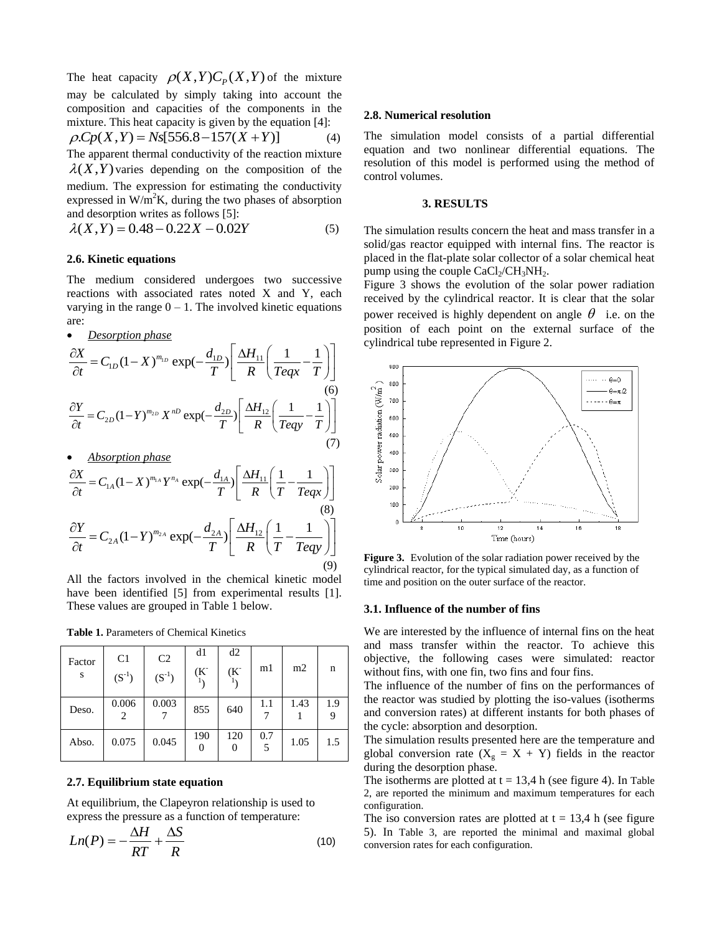The heat capacity  $\rho(X,Y)C_p(X,Y)$  of the mixture may be calculated by simply taking into account the composition and capacities of the components in the mixture. This heat capacity is given by the equation [4]:<br>  $\rho C p(X, Y) = N s [556.8 - 157(X + Y)]$  (4)

$$
\rho.Cp(X,Y) = Ns[556.8 - 157(X+Y)] \tag{4}
$$

The apparent thermal conductivity of the reaction mixture  $\lambda(X,Y)$  varies depending on the composition of the medium. The expression for estimating the conductivity expressed in  $W/m^2K$ , during the two phases of absorption and desorption writes as follows [5]:

$$
\lambda(X,Y) = 0.48 - 0.22X - 0.02Y\tag{5}
$$

# **2.6. Kinetic equations**

The medium considered undergoes two successive reactions with associated rates noted X and Y, each varying in the range  $0 - 1$ . The involved kinetic equations are:

*Desorption phase*

are:  
\n
$$
\frac{\partial X}{\partial t} = C_{1D} (1 - X)^{m_{1D}} \exp(-\frac{d_{1D}}{T}) \left[ \frac{\Delta H_{11}}{R} \left( \frac{1}{Teqx} - \frac{1}{T} \right) \right]
$$
\n
$$
\frac{\partial Y}{\partial t} = C_{2D} (1 - Y)^{m_{2D}} X^{nD} \exp(-\frac{d_{2D}}{T}) \left[ \frac{\Delta H_{12}}{R} \left( \frac{1}{Teqy} - \frac{1}{T} \right) \right]
$$
\n(6)

(7)

*Absorption phase*

(7)  
\n
$$
\frac{\partial X}{\partial t} = C_{1A} (1 - X)^{m_{1A}} Y^{n_A} \exp(-\frac{d_{1A}}{T}) \left[ \frac{\Delta H_{11}}{R} \left( \frac{1}{T} - \frac{1}{T e q x} \right) \right]
$$
\n(8)  
\n
$$
\frac{\partial Y}{\partial t} = C_{2A} (1 - Y)^{m_{2A}} \exp(-\frac{d_{2A}}{T}) \left[ \frac{\Delta H_{12}}{R} \left( \frac{1}{T} - \frac{1}{T e q y} \right) \right]
$$
\n(9)  
\nFig. (9)

All the factors involved in the chemical kinetic model have been identified [5] from experimental results [1]. These values are grouped in Table 1 below.

**Table 1.** Parameters of Chemical Kinetics

| Factor<br>S | C <sub>1</sub><br>$(S^{-1})$ | C <sub>2</sub><br>$(S^{-1})$ | d1<br>$(K^{-})$ | d2<br>(K <sup>2</sup> ) | m1       | m2   | n   |
|-------------|------------------------------|------------------------------|-----------------|-------------------------|----------|------|-----|
| Deso.       | 0.006<br>2                   | 0.003                        | 855             | 640                     | 1.1<br>7 | 1.43 | 1.9 |
| Abso.       | 0.075                        | 0.045                        | 190<br>0        | 120                     | 0.7      | 1.05 | 1.5 |

# **2.7. Equilibrium state equation**

At equilibrium, the Clapeyron relationship is used to express the pressure as a function of temperature:

$$
Ln(P) = -\frac{\Delta H}{RT} + \frac{\Delta S}{R}
$$
\n(10)

# **2.8. Numerical resolution**

The simulation model consists of a partial differential equation and two nonlinear differential equations. The resolution of this model is performed using the method of control volumes.

# **3. RESULTS**

The simulation results concern the heat and mass transfer in a solid/gas reactor equipped with internal fins. The reactor is placed in the flat-plate solar collector of a solar chemical heat pump using the couple  $CaCl<sub>2</sub>/CH<sub>3</sub>NH<sub>2</sub>$ .

Figure 3 shows the evolution of the solar power radiation received by the cylindrical reactor. It is clear that the solar power received is highly dependent on angle  $\theta$  i.e. on the position of each point on the external surface of the cylindrical tube represented in Figure 2.



**Figure 3.** Evolution of the solar radiation power received by the cylindrical reactor, for the typical simulated day, as a function of time and position on the outer surface of the reactor.

#### **3.1. Influence of the number of fins**

We are interested by the influence of internal fins on the heat and mass transfer within the reactor. To achieve this objective, the following cases were simulated: reactor without fins, with one fin, two fins and four fins.

The influence of the number of fins on the performances of the reactor was studied by plotting the iso-values (isotherms and conversion rates) at different instants for both phases of the cycle: absorption and desorption.

The simulation results presented here are the temperature and global conversion rate  $(X_g = X + Y)$  fields in the reactor during the desorption phase.

The isotherms are plotted at  $t = 13.4$  h (see figure 4). In Table 2, are reported the minimum and maximum temperatures for each configuration.

The iso conversion rates are plotted at  $t = 13.4$  h (see figure 5). In Table 3, are reported the minimal and maximal global conversion rates for each configuration.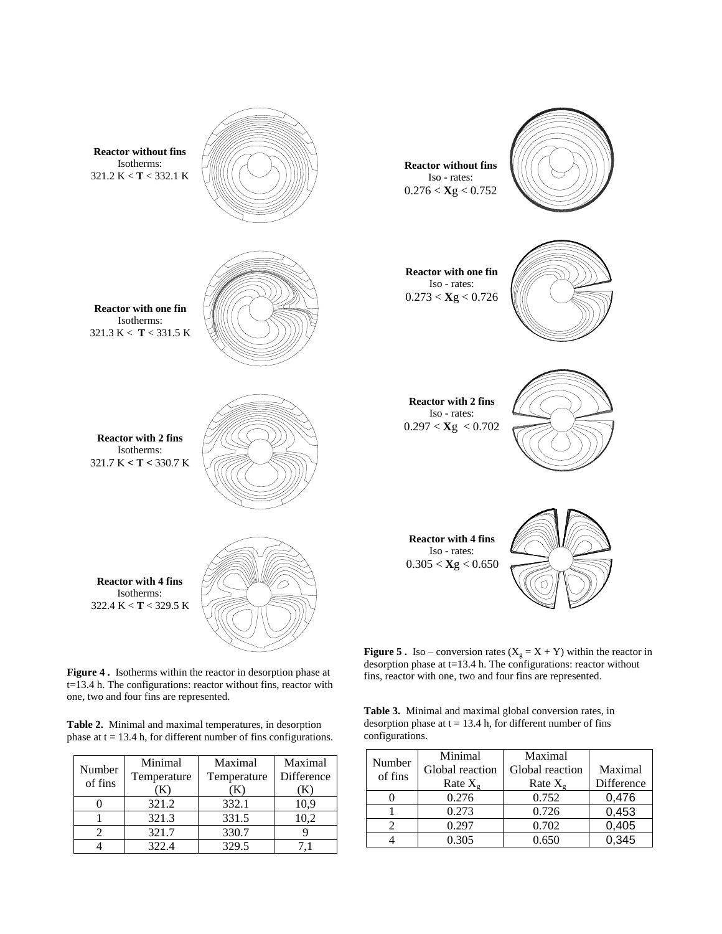

**Figure 4 .** Isotherms within the reactor in desorption phase at t=13.4 h. The configurations: reactor without fins, reactor with one, two and four fins are represented.

**Table 2.** Minimal and maximal temperatures, in desorption phase at  $t = 13.4$  h, for different number of fins configurations.

| Number  | Minimal     | Maximal     | Maximal    |
|---------|-------------|-------------|------------|
| of fins | Temperature | Temperature | Difference |
|         |             |             |            |
|         | 321.2       | 332.1       | 10.9       |
|         | 321.3       | 331.5       | 10,2       |
|         | 321.7       | 330.7       |            |
|         | 322.4       | 329.5       |            |

desorption phase at t=13.4 h. The configurations: reactor without fins, reactor with one, two and four fins are represented.

**Table 3.** Minimal and maximal global conversion rates, in desorption phase at  $t = 13.4$  h, for different number of fins configurations.

|                   | Minimal           | Maximal           |            |
|-------------------|-------------------|-------------------|------------|
| Number<br>of fins | Global reaction   | Global reaction   | Maximal    |
|                   | Rate $X_{\sigma}$ | Rate $X_{\sigma}$ | Difference |
|                   | 0.276             | 0.752             | 0,476      |
|                   | 0.273             | 0.726             | 0,453      |
|                   | 0.297             | 0.702             | 0,405      |
|                   | 0.305             | 0.650             | 0.345      |